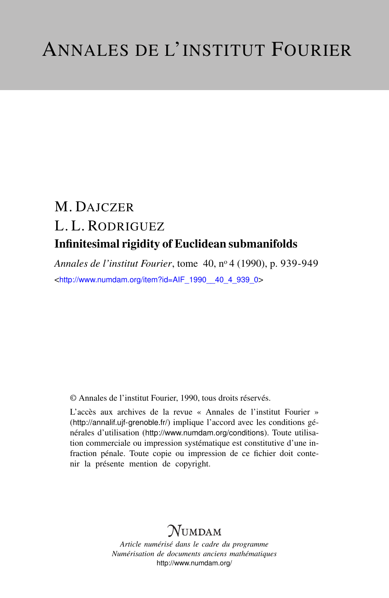# M. DAJCZER L. L. RODRIGUEZ Infinitesimal rigidity of Euclidean submanifolds

*Annales de l'institut Fourier*, tome 40, n<sup>o</sup> 4 (1990), p. 939-949 <[http://www.numdam.org/item?id=AIF\\_1990\\_\\_40\\_4\\_939\\_0](http://www.numdam.org/item?id=AIF_1990__40_4_939_0)>

© Annales de l'institut Fourier, 1990, tous droits réservés.

L'accès aux archives de la revue « Annales de l'institut Fourier » (<http://annalif.ujf-grenoble.fr/>) implique l'accord avec les conditions générales d'utilisation (<http://www.numdam.org/conditions>). Toute utilisation commerciale ou impression systématique est constitutive d'une infraction pénale. Toute copie ou impression de ce fichier doit contenir la présente mention de copyright.

# NUMDAM

*Article numérisé dans le cadre du programme Numérisation de documents anciens mathématiques* <http://www.numdam.org/>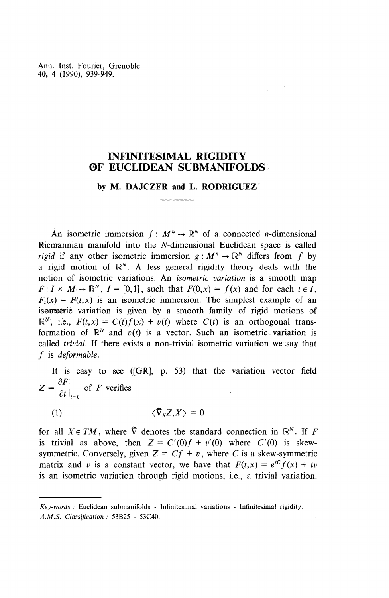Ann. Inst. Fourier, Grenoble **40,** 4 (1990), 939-949.

# **INFINITESIMAL RIGIDITY OF EUCLIDEAN SUBMANIFOLDS**

## **by M. DAJCZER and L. RODRIGUEZ**

An isometric immersion  $f : M^n \to \mathbb{R}^N$  of a connected *n*-dimensional Riemannian manifold into the N-dimensional Euclidean space is called *rigid* if any other isometric immersion  $g : M^n \to \mathbb{R}^N$  differs from f by a rigid motion of  $\mathbb{R}^{N}$ . A less general rigidity theory deals with the notion of isometric variations. An *isometric variation* is a smooth map  $F: I \times M \rightarrow \mathbb{R}^N$ ,  $I = [0,1]$ , such that  $F(0,x) = f(x)$  and for each  $t \in I$ ,  $F_t(x) = F(t, x)$  is an isometric immersion. The simplest example of an isometric variation is given by a smooth family of rigid motions of  $\mathbb{R}^{N}$ , i.e.,  $F(t,x) = C(t)f(x) + v(t)$  where  $C(t)$  is an orthogonal transformation of  $\mathbb{R}^N$  and  $v(t)$  is a vector. Such an isometric variation is called *trivial.* If there exists a non-trivial isometric variation we .say that / is *deformable.*

It is easy to see ([GR], p. 53) that the variation vector field  $Z = \frac{\partial F}{\partial t} \bigg|_{t=0}$  of *F* verifies

(1)  $\langle \tilde{\nabla}_{\mathbf{x}} Z, X \rangle = 0$ 

for all  $X \in TM$ , where  $\tilde{\nabla}$  denotes the standard connection in  $\mathbb{R}^{N}$ . If *F* is trivial as above, then  $Z = C'(0)f + v'(0)$  where  $C'(0)$  is skewsymmetric. Conversely, given  $Z = Cf + v$ , where *C* is a skew-symmetric matrix and v is a constant vector, we have that  $F(t,x) = e^{tC}f(x) + tv$ is an isometric variation through rigid motions, i.e., a trivial variation.

*Key-words :* Euclidean submanifolds - Infinitesimal variations - Infinitesimal rigidity. *A.M.S. Classification :* 53B25 - 53C40.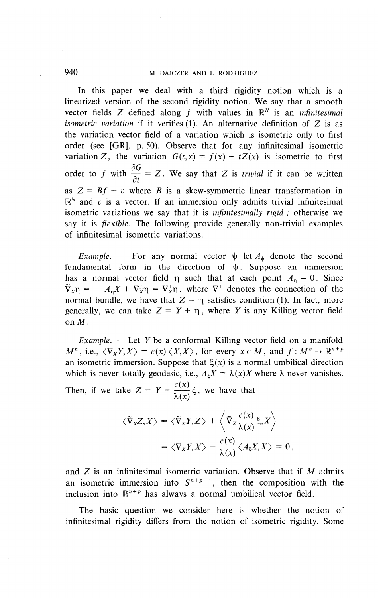In this paper we deal with a third rigidity notion which is a linearized version of the second rigidity notion. We say that a smooth interfaced version of the second rigidity notion. We say that a smooth vector fields  $Z$  defined along  $f$  with values in  $\mathbb{R}^N$  is an *infinitesimal isometric variation* if it verifies (1). An alternative definition of Z is as the variation vector field of a variation which is isometric only to first order (see [GR], p. 50). Observe that for any infinitesimal isometric variation Z, the variation  $G(t,x) = f(x) + tZ(x)$  is isometric to first order to f with  $\frac{\partial G}{\partial t} = Z$ . We say that Z is *trivial* if it can be written as  $Z = Bf + v$  where *B* is a skew-symmetric linear transformation in  $\mathbb{R}^N$  and *v* is a vector. If an immersion only admits trivial infinitesimal isometric variations we say that it is *infinitesimally rigid ;* otherwise we say it is *flexible.* The following provide generally non-trivial examples of infinitesimal isometric variations.

*Example.* – For any normal vector  $\psi$  let  $A_{\psi}$  denote the second fundamental form in the direction of  $\psi$ . Suppose an immersion has a normal vector field  $\eta$  such that at each point  $A_n = 0$ . Since  $\tilde{\nabla}_x \eta = -A_n X + \nabla_x^{\perp} \eta = \nabla_x^{\perp} \eta$ , where  $\nabla^{\perp}$  denotes the connection of the normal bundle, we have that  $Z = \eta$  satisfies condition (1). In fact, more generally, we can take  $Z = Y + \eta$ , where *Y* is any Killing vector field on M.

*Example. —* Let *Y* be a conformal Killing vector field on a manifold  $M^n$ , i.e.,  $\langle \nabla_X Y, X \rangle = c(x) \langle X, X \rangle$ , for every  $x \in M$ , and  $f : M^n \to \mathbb{R}^{n+p}$ an isometric immersion. Suppose that  $\xi(x)$  is a normal umbilical direction which is never totally geodesic, i.e.,  $A_k X = \lambda(x)X$  where  $\lambda$  never vanishes.

Then, if we take  $Z = Y + \frac{c(x)}{\lambda(x)} \xi$ , we have that

$$
\langle \tilde{\nabla}_{X} Z, X \rangle = \langle \tilde{\nabla}_{X} Y, Z \rangle + \langle \tilde{\nabla}_{X} \frac{c(x)}{\lambda(x)} \xi, X \rangle
$$
  
=  $\langle \nabla_{X} Y, X \rangle - \frac{c(x)}{\lambda(x)} \langle A_{\xi} X, X \rangle = 0,$ 

and Z is an infinitesimal isometric variation. Observe that if *M* admits an isometric immersion into  $S^{n+p-1}$ , then the composition with the inclusion into  $\mathbb{R}^{n+p}$  has always a normal umbilical vector field.

The basic question we consider here is whether the notion of infinitesimal rigidity differs from the notion of isometric rigidity. Some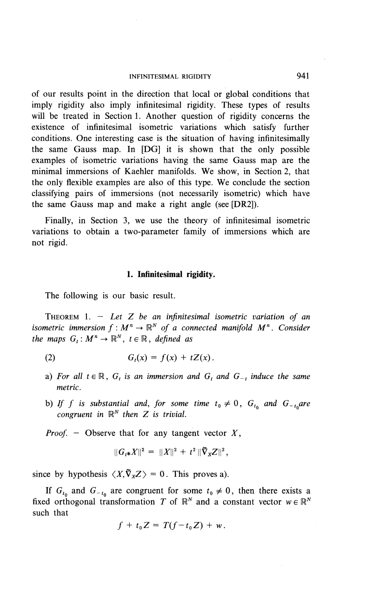#### INFINITESIMAL RIGIDITY 941

of our results point in the direction that local or global conditions that imply rigidity also imply infinitesimal rigidity. These types of results will be treated in Section 1. Another question of rigidity concerns the existence of infinitesimal isometric variations which satisfy further conditions. **One** interesting case is the situation of having infinitesimally the same Gauss map. In [DG] it is shown that the only possible examples of isometric variations having the same Gauss map are the minimal immersions of Kaehler manifolds. **We** show, in Section 2, that the only flexible examples are also of this type. **We** conclude the section classifying pairs of immersions (not necessarily isometric) which have the same Gauss map and make a right angle (see [DR2]).

Finally, in Section 3, we use the theory of infinitesimal isometric variations to obtain a two-parameter family of immersions which are not rigid.

#### **1. Infinitesimal rigidity.**

The following is our basic result.

THEOREM 1. - *Let Z be an infinitesimal isometric variation of an* **i** THEOREM 1. - Let Z be an infinitesimal isometric variation of an isometric immersion  $f : M^n \to \mathbb{R}^N$  of a connected manifold  $M^n$ . Consider *the maps*  $G_t$ :  $M^n \to \mathbb{R}^N$ ,  $t \in \mathbb{R}$ , *defined as*  $\begin{array}{l} \text{Fion } f: M^n \to \mathbb{R}^N \text{ of a c}^n \to \mathbb{R}^N \quad t \in \mathbb{R} \quad \text{defined} \quad d \end{array}$ 

$$
(2) \tGt(x) = f(x) + tZ(x).
$$

- a) For all  $t \in \mathbb{R}$ ,  $G_t$  is an immersion and  $G_t$  and  $G_{-t}$  induce the same *metric.*
- b) If f is substantial and, for some time  $t_0 \neq 0$ ,  $G_{t_0}$  and  $G_{-t_0}$ are *congruent in*  $\mathbb{R}^N$  *then Z is trivial.*

*Proof. -* Observe that for any tangent vector *X,*

$$
||G_{t*}X||^{2} = ||X||^{2} + t^{2}||\widetilde{\nabla}_{X}Z||^{2},
$$

since by hypothesis  $\langle X, \overline{V}_X Z \rangle = 0$ . This proves a).

If  $G_{t_0}$  and  $G_{-t_0}$  are congruent for some  $t_0 \neq 0$ , then there exists fixed orthogonal transformation *T* of  $\mathbb{R}^N$  and a constant vector  $w \in \mathbb{R}$  $f + t_0 Z = T(f - t_0 Z) + \frac{1}{2}$ 

$$
f + t_0 Z = T(f - t_0 Z) + w.
$$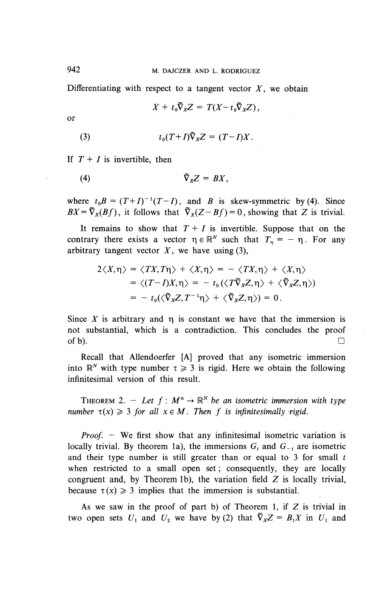Differentiating with respect to a tangent vector  $X$ , we obtain

$$
X + t_0 \widetilde{\nabla}_X Z = T(X - t_0 \widetilde{\nabla}_X Z),
$$

or

(3) 
$$
t_0(T+I)\tilde{\nabla}_X Z = (T-I)X.
$$

If  $T + I$  is invertible, then

(4) 
$$
\tilde{\nabla}_X Z = B X,
$$

where  $t_0 B = (T+I)^{-1}(T-I)$ , and B is skew-symmetric by (4). Since  $BX = \tilde{\nabla}_X(Bf)$ , it follows that  $\tilde{\nabla}_X(Z-Bf)=0$ , showing that Z is trivial.

It remains to show that  $T + I$  is invertible. Suppose that on the contrary there exists a vector  $\eta \in \mathbb{R}^N$  such that  $T_n = - \eta$ . For any arbitrary tangent vector  $X$ , we have using (3),

$$
2\langle X,\eta\rangle = \langle TX,T\eta\rangle + \langle X,\eta\rangle = -\langle TX,\eta\rangle + \langle X,\eta\rangle
$$
  
=\langle (T-I)X,\eta\rangle = -t\_0(\langle T\tilde{\nabla}\_XZ,\eta\rangle + \langle \tilde{\nabla}\_XZ,\eta\rangle)  
= -t\_0(\langle \tilde{\nabla}\_XZ,T^{-1}\eta\rangle + \langle \tilde{\nabla}\_XZ,\eta\rangle) = 0.

Since  $X$  is arbitrary and  $\eta$  is constant we have that the immersion is not substantial, which is a contradiction. This concludes the proof of b).  $\Box$ 

Recall that Allendoerfer [A] proved that any isometric immersion into  $\mathbb{R}^N$  with type number  $\tau \geq 3$  is rigid. Here we obtain the following infinitesimal version of this result.

THEOREM 2. – Let  $f : M^n \to \mathbb{R}^N$  be an isometric immersion with type *number*  $\tau(x) \geq 3$  *for all*  $x \in M$ . *Then f is infinitesimally rigid.* 

*Proof.* – We first show that any infinitesimal isometric variation is locally trivial. By theorem 1a), the immersions  $G_t$  and  $G_{-t}$  are isometric and their type number is still greater than or equal to 3 for small *t* when restricted to a small open set; consequently, they are locally congruent and, by Theorem 1b), the variation field  $Z$  is locally trivial, because  $\tau(x) \geq 3$  implies that the immersion is substantial.

As we saw in the proof of part b) of Theorem 1, if  $Z$  is trivial in two open sets  $U_1$  and  $U_2$  we have by (2) that  $\tilde{\nabla}_X Z = B_1 X$  in  $U_1$  and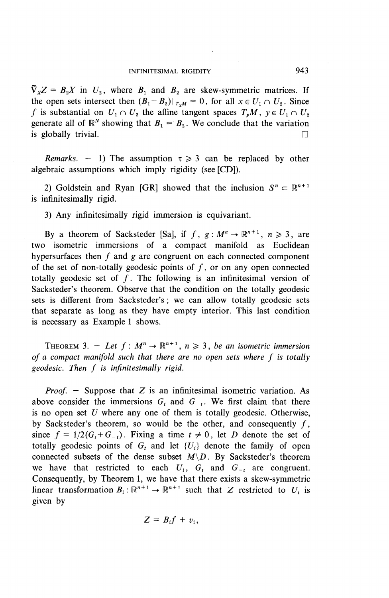$\tilde{\nabla}_X Z = B_2 X$  in  $U_2$ , where  $B_1$  and  $B_2$  are skew-symmetric matrices. If the open sets intersect then  $(B_1 - B_2)|_{T, M} = 0$ , for all  $x \in U_1 \cap U_2$ . Since f is substantial on  $U_1 \cap U_2$  the affine tangent spaces  $T_v M$ ,  $y \in U_1 \cap U_2$ generate all of  $\mathbb{R}^N$  showing that  $B_1 = B_2$ . We conclude that the variation is globally trivial.  $\Box$ 

*Remarks.* – 1) The assumption  $\tau \geq 3$  can be replaced by other algebraic assumptions which imply rigidity (see [CD]).

2) Goldstein and Ryan [GR] showed that the inclusion  $S^n \subset \mathbb{R}^{n+1}$ is infinitesimally rigid.

3) Any infinitesimally rigid immersion is equivariant.

By a theorem of Sacksteder [Sa], if  $f$ ,  $g : M^n \to \mathbb{R}^{n+1}$ ,  $n \ge 3$ , are two isometric immersions of a compact manifold as Euclidean hypersurfaces then  $f$  and  $g$  are congruent on each connected component of the set of non-totally geodesic points of  $f$ , or on any open connected totally geodesic set of  $f$ . The following is an infinitesimal version of Sacksteder's theorem. Observe that the condition on the totally geodesic sets is different from Sacksteder's; we can allow totally geodesic sets that separate as long as they have empty interior. This last condition is necessary as Example 1 shows.

THEOREM 3.  $-$  *Let*  $f : M^n \to \mathbb{R}^{n+1}$ ,  $n \ge 3$ , *be an isometric immersion*<br>*of a compact manifold such that there are no open sets where f is totally geodesic. Then f is infinitesimally rigid. geodesic. Then f is infinitesimally rigid.* 

*Proof.* – Suppose that Z is an infinitesimal isometric variation. As above consider the immersions  $G_t$  and  $G_{-t}$ . We first claim that there is no open set *U* where any one of them is totally geodesic. Otherwise, by Sacksteder's theorem, so would be the other, and consequently  $f$ , since  $f = 1/2(G_t + G_{-t})$ . Fixing a time  $t \neq 0$ , let *D* denote the set of totally geodesic points of  $G_t$  and let  $\{U_i\}$  denote the family of open connected subsets of the dense subset *M\D.* By Sacksteder's theorem we have that restricted to each  $U_i$ ,  $G_t$  and  $G_{-t}$  are congruent. Consequently, by Theorem 1, we have that there exists a skew-symmetric linear transformation  $B_i: \mathbb{R}^{n+1} \to \mathbb{R}^{n+1}$  such that Z restricted to  $U_i$  is given by

$$
Z = B_i f + v_i,
$$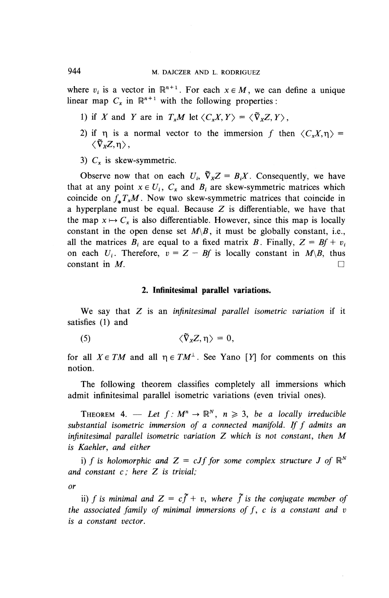where  $v_i$  is a vector in  $\mathbb{R}^{n+1}$ . For each  $x \in M$ , we can define a unique linear map  $C_x$  in  $\mathbb{R}^{n+1}$  with the following properties:

- 1) if *X* and *Y* are in  $T_xM$  let  $\langle C_xX, Y \rangle = \langle \tilde{\nabla}_Y Z, Y \rangle$ .
- 2) if  $\eta$  is a normal vector to the immersion f then  $\langle C_xX,\eta \rangle =$  $\langle \tilde{\nabla}_{\mathbf{x}}Z,\mathbf{n}\rangle$ ,
- 3)  $C<sub>x</sub>$  is skew-symmetric.

Observe now that on each  $U_i$ ,  $\tilde{\nabla}_x Z = B_i X$ . Consequently, we have that at any point  $x \in U_i$ ,  $C_x$  and  $B_i$  are skew-symmetric matrices which coincide on  $f^T_{\mu}M$ . Now two skew-symmetric matrices that coincide in a hyperplane must be equal. Because  $Z$  is differentiable, we have that the map  $x \mapsto C_x$  is also differentiable. However, since this map is locally constant in the open dense set  $M\backslash B$ , it must be globally constant, i.e., all the matrices  $B_i$  are equal to a fixed matrix B. Finally,  $Z = Bf + v_i$ on each  $U_i$ . Therefore,  $v = Z - Bf$  is locally constant in  $M\setminus B$ , thus constant in  $M$ .

### **2. Infinitesimal parallel variations.**

**We** say that Z is an *infinitesimal parallel isometric variation* if it satisfies (1) and

$$
\langle \tilde{\nabla}_x Z, \eta \rangle = 0,
$$

for all  $X \in TM$  and all  $\eta \in TM^{\perp}$ . See Yano [Y] for comments on this notion.

The following theorem classifies completely all immersions which admit infinitesimal parallel isometric variations (even trivial ones).

THEOREM 4. — Let  $f : M^n \to \mathbb{R}^N$ ,  $n \geq 3$ , be a locally irreducible *substantial isometric immersion of a connected manifold. Iff admits an infinitesimal parallel isometric variation Z \vhich is not constant, then M is Kaehler, and either*

i) f is holomorphic and  $Z = cJf$  for some complex structure J of  $\mathbb{R}^N$ *and constant c ; here Z is trivial;*

*or*

ii) f is minimal and  $Z = c\tilde{f} + v$ , where  $\tilde{f}$  is the conjugate member of *the associated family of minimal immersions of f, c is a constant and v is a constant vector.*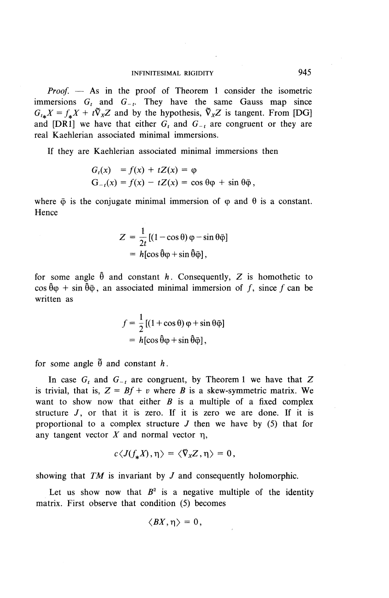*Proof. —* As in the proof of Theorem 1 consider the isometric immersions  $G_t$  and  $G_{-t}$ . They have the same Gauss map since  $G_{\mu\mu}X = f_{\mu}X + t\tilde{\nabla}_{X}Z$  and by the hypothesis,  $\tilde{\nabla}_{X}Z$  is tangent. From [DG] and [DR1] we have that either  $G<sub>t</sub>$  and  $G<sub>-t</sub>$  are congruent or they are real Kaehlerian associated minimal immersions.

If they are Kaehlerian associated minimal immersions then

$$
G_t(x) = f(x) + tZ(x) = \varphi
$$
  
\n
$$
G_{-t}(x) = f(x) - tZ(x) = \cos \theta \varphi + \sin \theta \bar{\varphi},
$$

where  $\bar{\varphi}$  is the conjugate minimal immersion of  $\varphi$  and  $\theta$  is a constant. Hence

$$
Z = \frac{1}{2t} [(1 - \cos \theta) \varphi - \sin \theta \bar{\varphi}]
$$
  
=  $h[\cos \theta \varphi + \sin \theta \bar{\varphi}],$ 

for some angle  $\hat{\theta}$  and constant h. Consequently, Z is homothetic to  $\cos \hat{\theta} \varphi + \sin \hat{\theta} \varphi$ , an associated minimal immersion of f, since f can be written as

$$
f = \frac{1}{2} [(1 + \cos \theta) \varphi + \sin \theta \bar{\varphi}]
$$
  
=  $h[\cos \theta \varphi + \sin \theta \bar{\varphi}],$ 

for some angle  $\tilde{\theta}$  and constant h.

In case  $G_t$  and  $G_{-t}$  are congruent, by Theorem 1 we have that Z is trivial, that is,  $Z = Bf + v$  where *B* is a skew-symmetric matrix. We want to show now that either *B* is a multiple of a fixed complex structure  $J$ , or that it is zero. If it is zero we are done. If it is proportional to a complex structure *J* then we have by (5) that for any tangent vector  $X$  and normal vector  $\eta$ ,

$$
c\langle J(f_*X),\eta\rangle=\langle\bar{\nabla}_XZ,\eta\rangle=0,
$$

showing that *TM* is invariant by *J* and consequently holomorphic.

Let us show now that  $B^2$  is a negative multiple of the identity matrix. First observe that condition (5) becomes

$$
\langle BX, \eta \rangle = 0,
$$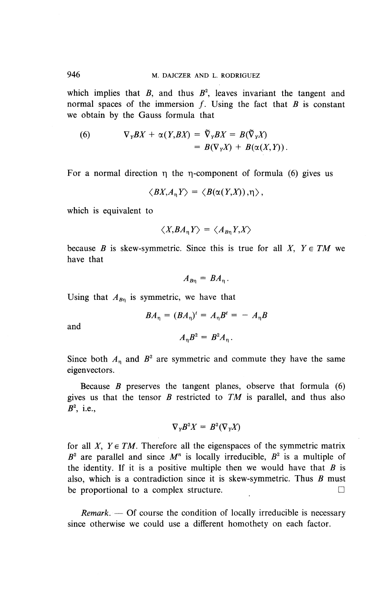which implies that  $B$ , and thus  $B^2$ , leaves invariant the tangent and normal spaces of the immersion  $f$ . Using the fact that  $B$  is constant we obtain by the Gauss formula that

(6) 
$$
\nabla_Y BX + \alpha(Y, BX) = \tilde{\nabla}_Y BX = B(\tilde{\nabla}_Y X)
$$

$$
= B(\nabla_Y X) + B(\alpha(X, Y)).
$$

For a normal direction  $\eta$  the  $\eta$ -component of formula (6) gives us

$$
\langle BX,A_{\eta}Y\rangle = \langle B(\alpha(Y,X)),\eta\rangle,
$$

which is equivalent to

$$
\langle X, BA_{\eta} Y \rangle = \langle A_{B\eta} Y, X \rangle
$$

because *B* is skew-symmetric. Since this is true for all *X*,  $Y \in TM$  we have that

$$
A_{B\eta} = BA_{\eta}.
$$

Using that  $A_{Bn}$  is symmetric, we have that

$$
BA_{\eta} = (BA_{\eta})^t = A_{\eta}B^t = -A_{\eta}B
$$

and

$$
A_{\eta}B^2 = B^2 A_{\eta}.
$$

Since both  $A_n$  and  $B^2$  are symmetric and commute they have the same eigenvectors.

Because *B* preserves the tangent planes, observe that formula (6) gives us that the tensor *B* restricted to *TM* is parallel, and thus also  $B^2$ , i.e.,

$$
\nabla_{Y} B^2 X = B^2 (\nabla_{Y} X)
$$

for all *X*,  $Y \in TM$ . Therefore all the eigenspaces of the symmetric matrix  $B^2$  are parallel and since  $M^n$  is locally irreducible,  $B^2$  is a multiple of the identity. If it is a positive multiple then we would have that *B* is also, which is a contradiction since it is skew-symmetric. Thus *B* must be proportional to a complex structure.  $\Box$ 

*Remark. —* **Of** course the condition of locally irreducible is necessary since otherwise we could use a different homothety on each factor.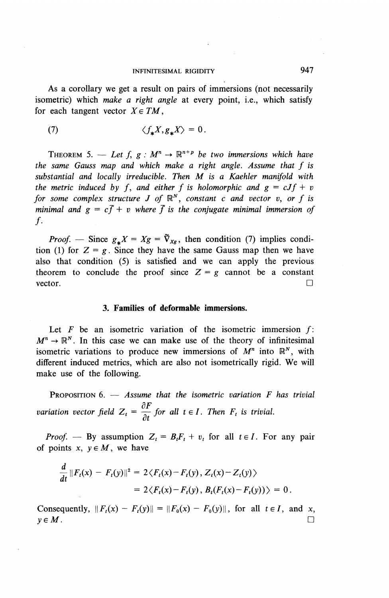As a corollary we get a result on pairs of immersions (not necessarily isometric) which *make a right angle* at every point, i.e., which satisfy for each tangent vector  $X \in TM$ ,

(7) 
$$
\langle f_* X, g_* X \rangle = 0.
$$

THEOREM 5. — Let  $f, g : M^n \to \mathbb{R}^{n+p}$  be two immersions which have the same Gauss map and which make a right angle. Assume that f is *substantial and locally irreducible. Then M is a Kaehler manifold with*<br>the metric induced by f, and either f is holomorphic and  $g = cJf + v$ *for some complex structure J* of  $\mathbb{R}^N$ , *constant c and vector v*, *or f is minimal and*  $g = c\bar{f} + v$  *where*  $\bar{f}$  *is the conjugate minimal immersion of*  $\mathbf{f}$ .

*Proof.* — Since  $g_* X = Xg = \tilde{\nabla}_{Xg}$ , then condition (7) implies condition (1) for  $Z = g$ . Since they have the same Gauss map then we have also that condition (5) is satisfied and we can apply the previous theorem to conclude the proof since  $Z = g$  cannot be a constant vector.  $\Box$ 

### **3. Families of deformable immersions.**

Let *F* be an isometric variation of the isometric immersion  $f: \rightarrow \mathbb{R}^N$ . In this case we can make use of the theory of infinitesimal  $M^n \to \mathbb{R}^N$ . In this case we can make use of the theory of infinitesimal isometric variations to produce new immersions of  $M^n$  into  $\mathbb{R}^N$ , with different induced metrics, which are also not isometrically rigid. We will make use of the following.

PROPOSITION 6. — *Assume that the isometric variation F has trivial* /3 *n variation vector field*  $Z_t = \frac{\partial F}{\partial t}$  *for all t*  $\in$  *I*. *Then*  $F_t$  *is trivial.* 

*Proof.* — By assumption  $Z_t = B_t F_t + v_t$  for all  $t \in I$ . For any pair of points  $x, y \in M$ , we have

$$
\frac{d}{dt} ||F_t(x) - F_t(y)||^2 = 2\langle F_t(x) - F_t(y), Z_t(x) - Z_t(y)\rangle
$$
  
= 2\langle F\_t(x) - F\_t(y), B\_t(F\_t(x) - F\_t(y))\rangle = 0.

**Consequently,**  $\|F_t(x) - F_t(y)\| = \|F_0(x) - F_0(y)\|$ , for all  $t \in I$ , and x,  $y \in M$  .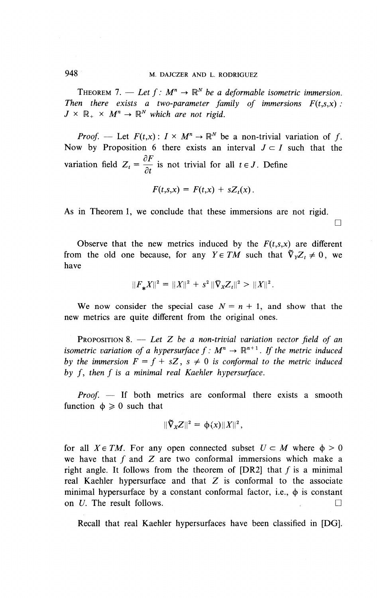THEOREM 7. — Let  $f: M^n \to \mathbb{R}^N$  be a deformable isometric immersion. *Then there exists a two-parameter family of immersions*  $F(t,s,x)$ *:*  $J \times \mathbb{R}_+ \times M^n \rightarrow \mathbb{R}^N$  which are not rigid.

*Proof.* — Let  $F(t,x): I \times M^n \to \mathbb{R}^N$  be a non-trivial variation of f. Now by Proposition 6 there exists an interval  $J \subset I$  such that the variation field  $Z_t = \frac{\partial F}{\partial t}$  is not trivial for all  $t \in J$ . Define

$$
F(t,s,x) = F(t,x) + sZ_t(x).
$$

 $\Box$ 

As in Theorem 1, we conclude that these immersions are not rigid.

Observe that the new metrics induced by the  $F(t,s,x)$  are different from the old one because, for any  $Y \in TM$  such that  $\tilde{\nabla}_Y Z_t \neq 0$ , we have

$$
||F_*X||^2 = ||X||^2 + s^2 ||\bar{\nabla}_X Z_t||^2 > ||X||^2.
$$

We now consider the special case  $N = n + 1$ , and show that the new metrics are quite different from the original ones.

PROPOSITION 8. — *Let Z be a non-trivial variation vector field of an* **i** PROPOSITION 8. — Let Z be a non-trivial variation vector field of an isometric variation of a hypersurface  $f : M^n \to \mathbb{R}^{n+1}$ . If the metric induced by the immersion  $F = f + sZ$ ,  $s \neq 0$  is conformal to the metric indu *by the immersion*  $F = f + sZ$ ,  $s \neq 0$  *is conformal to the metric induced by f*, *then f is a minimal real Kaehler hypersurface.* 

*Proof. —* If both metrics are conformal there exists a smooth function  $\phi \geq 0$  such that

$$
\|\widetilde{\nabla}_X Z\|^2 = \phi(x)\|X\|^2,
$$

for all  $X \in TM$ . For any open connected subset  $U \subset M$  where  $\phi > 0$ we have that  $f$  and  $Z$  are two conformal immersions which make a right angle. It follows from the theorem of  $[DR2]$  that f is a minimal real Kaehler hypersurface and that  $Z$  is conformal to the associate minimal hypersurface by a constant conformal factor, i.e.,  $\phi$  is constant on  $U$ . The result follows.  $\Box$ 

Recall that real Kaehler hypersurfaces have been classified in [DG].